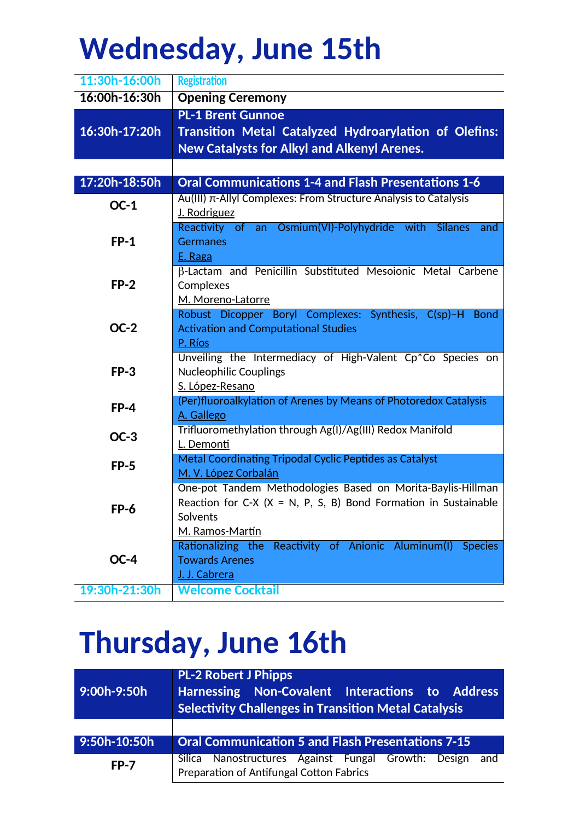## **Wednesday, June 15th**

| 11:30h-16:00h | <b>Registration</b>                                                                 |
|---------------|-------------------------------------------------------------------------------------|
| 16:00h-16:30h | <b>Opening Ceremony</b>                                                             |
|               | <b>PL-1 Brent Gunnoe</b>                                                            |
| 16:30h-17:20h | Transition Metal Catalyzed Hydroarylation of Olefins:                               |
|               | <b>New Catalysts for Alkyl and Alkenyl Arenes.</b>                                  |
|               |                                                                                     |
| 17:20h-18:50h | <b>Oral Communications 1-4 and Flash Presentations 1-6</b>                          |
| $OC-1$        | Au(III) π-Allyl Complexes: From Structure Analysis to Catalysis                     |
|               | J. Rodriguez                                                                        |
|               | Reactivity of an Osmium(VI)-Polyhydride with Silanes<br>and                         |
| $FP-1$        | <b>Germanes</b>                                                                     |
|               | E. Raga                                                                             |
|               | B-Lactam and Penicillin Substituted Mesoionic Metal Carbene                         |
| $FP-2$        | Complexes                                                                           |
|               | M. Moreno-Latorre<br>Robust Dicopper Boryl Complexes: Synthesis, C(sp)-H Bond       |
| $OC-2$        | <b>Activation and Computational Studies</b>                                         |
|               | P. Ríos                                                                             |
|               | Unveiling the Intermediacy of High-Valent Cp*Co Species on                          |
| $FP-3$        | <b>Nucleophilic Couplings</b>                                                       |
|               | S. López-Resano                                                                     |
| $FP-4$        | (Per)fluoroalkylation of Arenes by Means of Photoredox Catalysis                    |
|               | A. Gallego                                                                          |
| $OC-3$        | Trifluoromethylation through Ag(I)/Ag(III) Redox Manifold                           |
|               | L. Demonti                                                                          |
| $FP-5$        | Metal Coordinating Tripodal Cyclic Peptides as Catalyst                             |
|               | M. V. López Corbalán<br>One-pot Tandem Methodologies Based on Morita-Baylis-Hillman |
|               | Reaction for C-X $(X = N, P, S, B)$ Bond Formation in Sustainable                   |
| FP-6          | Solvents                                                                            |
|               | M. Ramos-Martín                                                                     |
| $OC-4$        | Rationalizing the Reactivity of Anionic Aluminum(I) Species                         |
|               | <b>Towards Arenes</b>                                                               |
|               | J. J. Cabrera                                                                       |
| 19:30h-21:30h | <b>Welcome Cocktail</b>                                                             |

## **Thursday, June 16th**

| 9:00h-9:50h  | <b>PL-2 Robert J Phipps</b><br><b>Harnessing Non-Covalent Interactions to Address</b><br><b>Selectivity Challenges in Transition Metal Catalysis</b> |
|--------------|------------------------------------------------------------------------------------------------------------------------------------------------------|
|              |                                                                                                                                                      |
| 9:50h-10:50h | <b>Oral Communication 5 and Flash Presentations 7-15</b>                                                                                             |
| <b>FP-7</b>  | Silica Nanostructures Against Fungal Growth: Design<br>and<br>Preparation of Antifungal Cotton Fabrics                                               |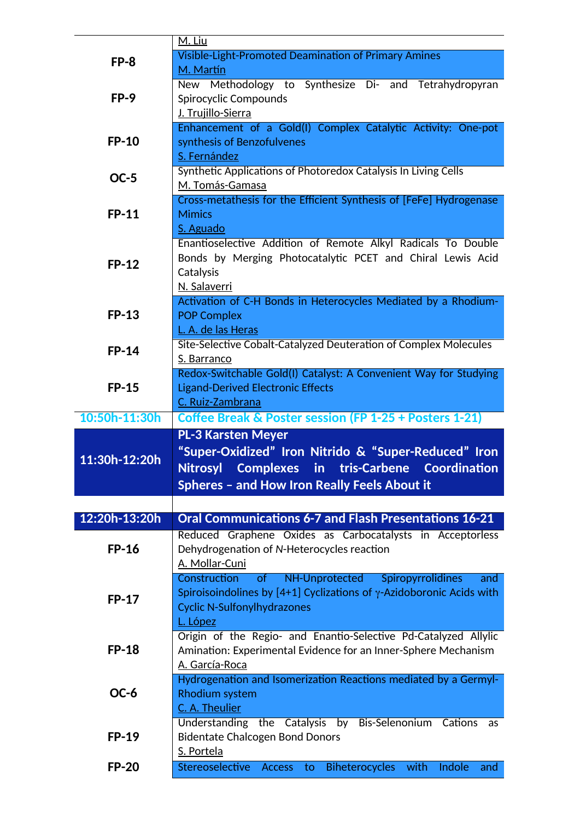| $FP-8$        | M. Liu                                                                                          |
|---------------|-------------------------------------------------------------------------------------------------|
|               | <b>Visible-Light-Promoted Deamination of Primary Amines</b>                                     |
|               | M. Martín                                                                                       |
|               | New Methodology to Synthesize Di- and Tetrahydropyran                                           |
| $FP-9$        | Spirocyclic Compounds                                                                           |
|               | J. Trujillo-Sierra                                                                              |
|               | Enhancement of a Gold(I) Complex Catalytic Activity: One-pot                                    |
| <b>FP-10</b>  | synthesis of Benzofulvenes                                                                      |
|               | S. Fernández                                                                                    |
| <b>OC-5</b>   | Synthetic Applications of Photoredox Catalysis In Living Cells                                  |
|               | M. Tomás-Gamasa                                                                                 |
|               | Cross-metathesis for the Efficient Synthesis of [FeFe] Hydrogenase                              |
| <b>FP-11</b>  | <b>Mimics</b>                                                                                   |
|               | S. Aguado                                                                                       |
|               | Enantioselective Addition of Remote Alkyl Radicals To Double                                    |
|               | Bonds by Merging Photocatalytic PCET and Chiral Lewis Acid                                      |
| <b>FP-12</b>  | Catalysis                                                                                       |
|               | N. Salaverri                                                                                    |
|               | Activation of C-H Bonds in Heterocycles Mediated by a Rhodium-                                  |
| <b>FP-13</b>  | <b>POP Complex</b>                                                                              |
|               | L. A. de las Heras                                                                              |
|               | Site-Selective Cobalt-Catalyzed Deuteration of Complex Molecules                                |
| <b>FP-14</b>  | S. Barranco                                                                                     |
|               | Redox-Switchable Gold(I) Catalyst: A Convenient Way for Studying                                |
|               |                                                                                                 |
|               |                                                                                                 |
| <b>FP-15</b>  | <b>Ligand-Derived Electronic Effects</b>                                                        |
|               | C. Ruiz-Zambrana                                                                                |
| 10:50h-11:30h | Coffee Break & Poster session (FP 1-25 + Posters 1-21)                                          |
|               | <b>PL-3 Karsten Meyer</b>                                                                       |
|               | "Super-Oxidized" Iron Nitrido & "Super-Reduced" Iron                                            |
| 11:30h-12:20h | Nitrosyl Complexes in tris-Carbene Coordination                                                 |
|               |                                                                                                 |
|               | Spheres - and How Iron Really Feels About it                                                    |
|               |                                                                                                 |
| 12:20h-13:20h | <b>Oral Communications 6-7 and Flash Presentations 16-21</b>                                    |
|               | Reduced Graphene Oxides as Carbocatalysts in Acceptorless                                       |
| <b>FP-16</b>  | Dehydrogenation of N-Heterocycles reaction                                                      |
|               | A. Mollar-Cuni                                                                                  |
|               | NH-Unprotected<br>Construction<br>of<br>Spiropyrrolidines<br>and                                |
|               | Spiroisoindolines by $[4+1]$ Cyclizations of $\gamma$ -Azidoboronic Acids with                  |
| <b>FP-17</b>  | <b>Cyclic N-Sulfonylhydrazones</b>                                                              |
|               | L. López                                                                                        |
|               |                                                                                                 |
| <b>FP-18</b>  | Origin of the Regio- and Enantio-Selective Pd-Catalyzed Allylic                                 |
|               | Amination: Experimental Evidence for an Inner-Sphere Mechanism<br>A. García-Roca                |
|               |                                                                                                 |
|               | Hydrogenation and Isomerization Reactions mediated by a Germyl-                                 |
| OC-6          | <b>Rhodium system</b>                                                                           |
|               | C. A. Theulier                                                                                  |
|               | Understanding the Catalysis by Bis-Selenonium Cations<br>as                                     |
| <b>FP-19</b>  | <b>Bidentate Chalcogen Bond Donors</b>                                                          |
| <b>FP-20</b>  | S. Portela<br>Stereoselective<br><b>Biheterocycles</b><br>Indole<br>Access<br>with<br>to<br>and |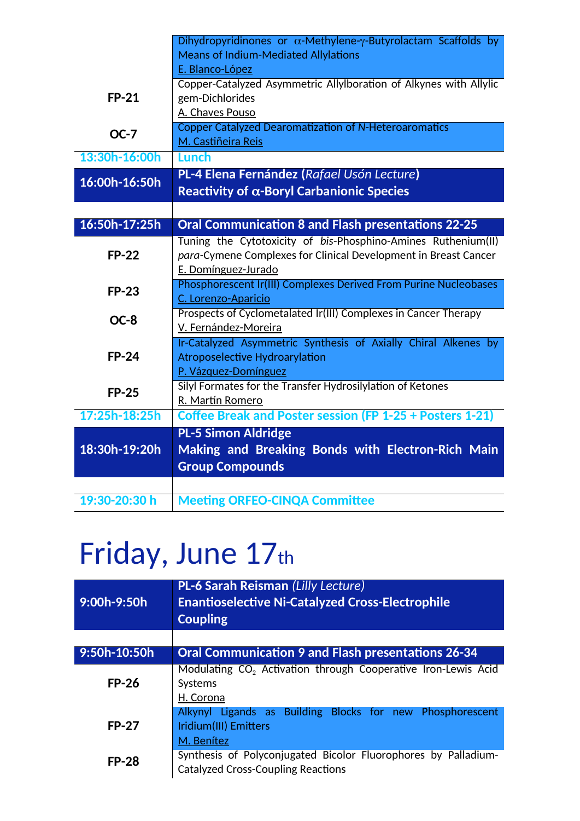|               | Dihydropyridinones or $\alpha$ -Methylene- $\gamma$ -Butyrolactam Scaffolds by |
|---------------|--------------------------------------------------------------------------------|
|               | <b>Means of Indium-Mediated Allylations</b>                                    |
|               | E. Blanco-López                                                                |
|               | Copper-Catalyzed Asymmetric Allylboration of Alkynes with Allylic              |
| <b>FP-21</b>  | gem-Dichlorides                                                                |
|               | A. Chaves Pouso                                                                |
| $OC-7$        | <b>Copper Catalyzed Dearomatization of N-Heteroaromatics</b>                   |
|               | M. Castiñeira Reis                                                             |
| 13:30h-16:00h | Lunch                                                                          |
| 16:00h-16:50h | PL-4 Elena Fernández (Rafael Usón Lecture)                                     |
|               | Reactivity of $\alpha$ -Boryl Carbanionic Species                              |
|               |                                                                                |
| 16:50h-17:25h | <b>Oral Communication 8 and Flash presentations 22-25</b>                      |
|               | Tuning the Cytotoxicity of bis-Phosphino-Amines Ruthenium(II)                  |
| <b>FP-22</b>  | para-Cymene Complexes for Clinical Development in Breast Cancer                |
|               | E. Domínguez-Jurado                                                            |
| <b>FP-23</b>  | Phosphorescent Ir(III) Complexes Derived From Purine Nucleobases               |
|               | C. Lorenzo-Aparicio                                                            |
| OC-8          | Prospects of Cyclometalated Ir(III) Complexes in Cancer Therapy                |
|               | V. Fernández-Moreira                                                           |
|               | Ir-Catalyzed Asymmetric Synthesis of Axially Chiral Alkenes by                 |
| <b>FP-24</b>  | <b>Atroposelective Hydroarylation</b>                                          |
|               | P. Vázquez-Domínguez                                                           |
| <b>FP-25</b>  | Silyl Formates for the Transfer Hydrosilylation of Ketones                     |
|               | R. Martín Romero                                                               |
| 17:25h-18:25h | Coffee Break and Poster session (FP 1-25 + Posters 1-21)                       |
|               | PL-5 Simon Aldridge                                                            |
| 18:30h-19:20h | Making and Breaking Bonds with Electron-Rich Main                              |
|               | <b>Group Compounds</b>                                                         |
|               |                                                                                |
| 19:30-20:30 h | <b>Meeting ORFEO-CINQA Committee</b>                                           |

## Friday, June 17th

| 9:00h-9:50h  | <b>PL-6 Sarah Reisman (Lilly Lecture)</b><br><b>Enantioselective Ni-Catalyzed Cross-Electrophile</b><br><b>Coupling</b> |
|--------------|-------------------------------------------------------------------------------------------------------------------------|
|              |                                                                                                                         |
| 9:50h-10:50h | <b>Oral Communication 9 and Flash presentations 26-34</b>                                                               |
| $FP-26$      | Modulating CO <sub>2</sub> Activation through Cooperative Iron-Lewis Acid<br>Systems<br>H. Corona                       |
| <b>FP-27</b> | Alkynyl Ligands as Building Blocks for new Phosphorescent<br>Iridium(III) Emitters<br>M. Benítez                        |
| <b>FP-28</b> | Synthesis of Polyconjugated Bicolor Fluorophores by Palladium-<br><b>Catalyzed Cross-Coupling Reactions</b>             |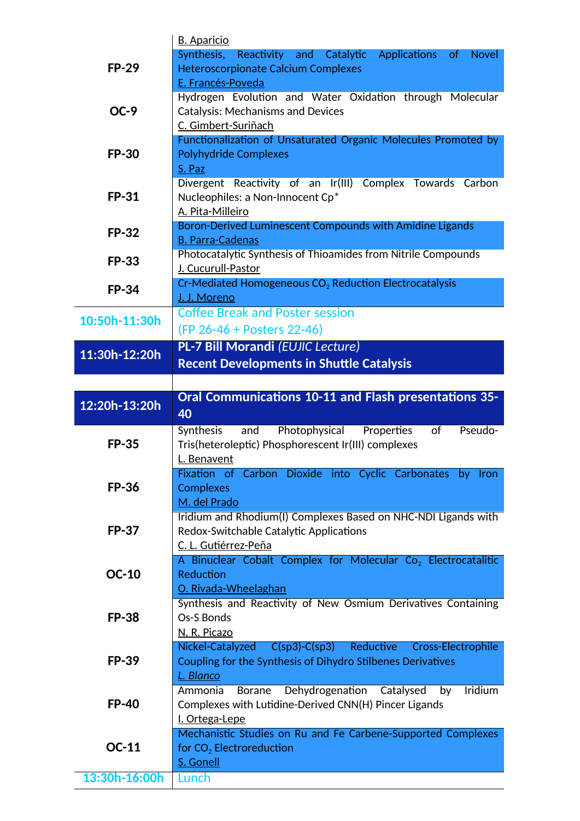|               | <b>B.</b> Aparicio                                                           |
|---------------|------------------------------------------------------------------------------|
| <b>FP-29</b>  | Synthesis,<br>Reactivity and Catalytic Applications<br>of<br><b>Novel</b>    |
|               | <b>Heteroscorpionate Calcium Complexes</b>                                   |
|               | E. Francés-Poveda                                                            |
|               | Hydrogen Evolution and Water Oxidation through Molecular                     |
| $OC-9$        | <b>Catalysis: Mechanisms and Devices</b>                                     |
|               | C. Gimbert-Suriñach                                                          |
|               | Functionalization of Unsaturated Organic Molecules Promoted by               |
| <b>FP-30</b>  | <b>Polyhydride Complexes</b>                                                 |
|               | S. Paz                                                                       |
|               | Divergent Reactivity of an Ir(III) Complex Towards Carbon                    |
| <b>FP-31</b>  | Nucleophiles: a Non-Innocent Cp*                                             |
|               | A. Pita-Milleiro<br>Boron-Derived Luminescent Compounds with Amidine Ligands |
| <b>FP-32</b>  | <b>B. Parra-Cadenas</b>                                                      |
|               | Photocatalytic Synthesis of Thioamides from Nitrile Compounds                |
| <b>FP-33</b>  | J. Cucurull-Pastor                                                           |
|               | Cr-Mediated Homogeneous CO <sub>2</sub> Reduction Electrocatalysis           |
| <b>FP-34</b>  | J. J. Moreno                                                                 |
|               | <b>Coffee Break and Poster session</b>                                       |
| 10:50h-11:30h |                                                                              |
|               | (FP 26-46 + Posters 22-46)                                                   |
| 11:30h-12:20h | <b>PL-7 Bill Morandi (EUJIC Lecture)</b>                                     |
|               | <b>Recent Developments in Shuttle Catalysis</b>                              |
|               |                                                                              |
|               | <b>Oral Communications 10-11 and Flash presentations 35-</b>                 |
| 12:20h-13:20h |                                                                              |
|               | 40                                                                           |
|               | and Photophysical Properties<br>of<br>Pseudo-<br>Synthesis                   |
| <b>FP-35</b>  | Tris(heteroleptic) Phosphorescent Ir(III) complexes                          |
|               | L. Benavent                                                                  |
|               | Fixation of Carbon Dioxide into Cyclic Carbonates by Iron                    |
| <b>FP-36</b>  | <b>Complexes</b>                                                             |
|               | M. del Prado                                                                 |
|               | Iridium and Rhodium(I) Complexes Based on NHC-NDI Ligands with               |
| <b>FP-37</b>  | Redox-Switchable Catalytic Applications                                      |
|               | C. L. Gutiérrez-Peña                                                         |
|               | A Binuclear Cobalt Complex for Molecular Co <sub>2</sub> Electrocatalitic    |
| <b>OC-10</b>  | Reduction                                                                    |
|               | O. Rivada-Wheelaghan                                                         |
|               | Synthesis and Reactivity of New Osmium Derivatives Containing                |
| <b>FP-38</b>  | Os-S Bonds                                                                   |
|               | N. R. Picazo                                                                 |
|               | Nickel-Catalyzed C(sp3)-C(sp3)<br>Reductive Cross-Electrophile               |
| <b>FP-39</b>  | Coupling for the Synthesis of Dihydro Stilbenes Derivatives                  |
|               | L. Blanco                                                                    |
|               | Dehydrogenation<br>Catalysed<br><b>Iridium</b><br>Borane<br>Ammonia<br>by    |
| <b>FP-40</b>  | Complexes with Lutidine-Derived CNN(H) Pincer Ligands                        |
|               | I. Ortega-Lepe                                                               |
|               | Mechanistic Studies on Ru and Fe Carbene-Supported Complexes                 |
| <b>OC-11</b>  | for $CO2$ Electroreduction                                                   |
| 13:30h-16:00h | S. Gonell<br>Lunch                                                           |